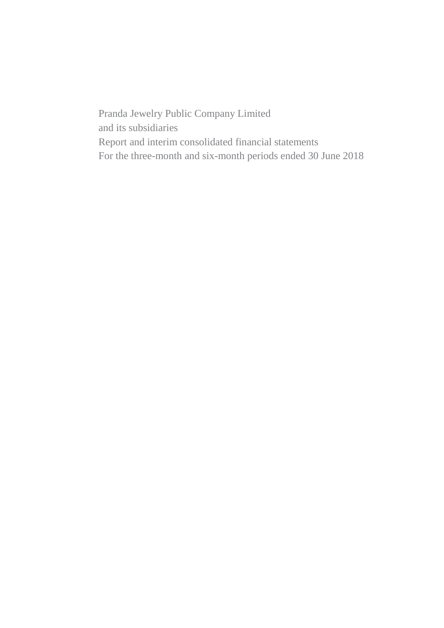Pranda Jewelry Public Company Limited and its subsidiaries Report and interim consolidated financial statements For the three-month and six-month periods ended 30 June 2018